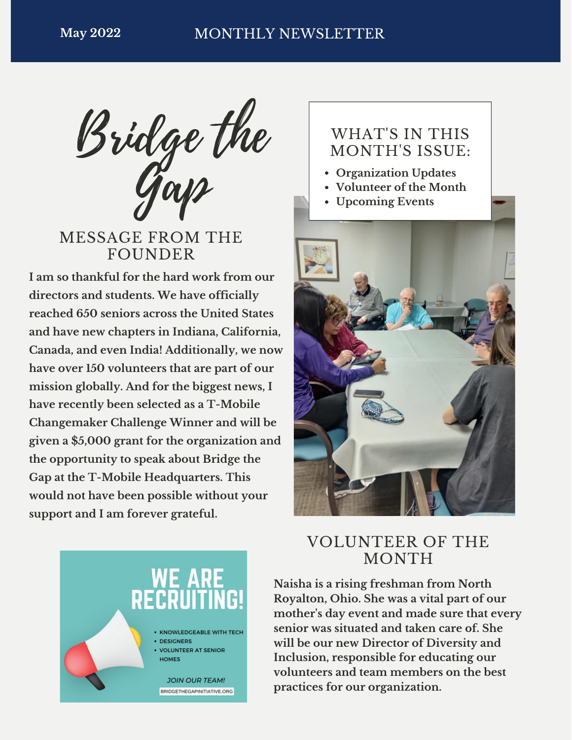Bridge the Gap

MESSAGE FROM THE **FOUNDER** 

**I am so thankful for the hard work from our directors and students. We have officially reached 650 seniors across the United States and have new chapters in Indiana, California, Canada, and even India! Additionally, we now have over 150 volunteers that are part of our mission globally. And for the biggest news, I have recently been selected as a T-Mobile Changemaker Challenge Winner and will be given a \$5,000 grant for the organization and the opportunity to speak about Bridge the Gap at the T-Mobile Headquarters. This would not have been possible without your support and I am forever grateful.**

### WHAT'S IN THIS MONTH'S ISSUE:

- **Organization Updates**
- **Volunteer of the Month**
- **Upcoming Events**





## VOLUNTEER OF THE MONTH

**Naisha is a rising freshman from North Royalton, Ohio. She was a vital part of our mother's day event and made sure that every senior was situated and taken care of. She will be our new Director of Diversity and Inclusion, responsible for educating our volunteers and team members on the best practices for our organization.**